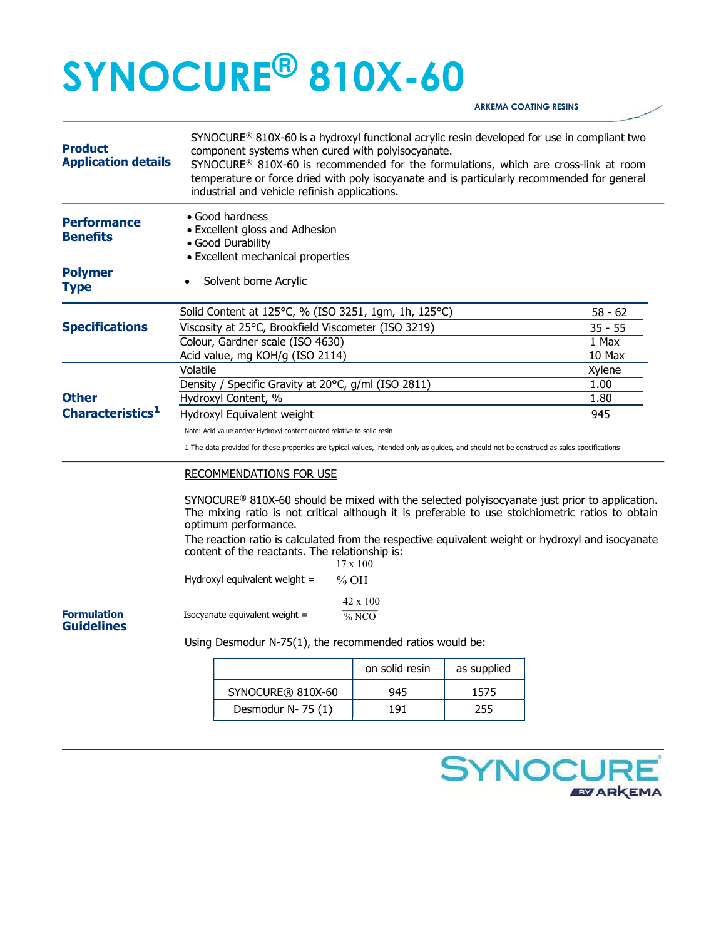## SYNOCURE® 810X-60

ARKEMA COATING RESINS

| <b>Product</b><br><b>Application details</b> |                                                                                                                                                                                                                      | SYNOCURE <sup>®</sup> 810X-60 is a hydroxyl functional acrylic resin developed for use in compliant two<br>component systems when cured with polyisocyanate.<br>SYNOCURE <sup>®</sup> 810X-60 is recommended for the formulations, which are cross-link at room<br>temperature or force dried with poly isocyanate and is particularly recommended for general<br>industrial and vehicle refinish applications. |                  |             |                                 |  |
|----------------------------------------------|----------------------------------------------------------------------------------------------------------------------------------------------------------------------------------------------------------------------|-----------------------------------------------------------------------------------------------------------------------------------------------------------------------------------------------------------------------------------------------------------------------------------------------------------------------------------------------------------------------------------------------------------------|------------------|-------------|---------------------------------|--|
| <b>Performance</b><br><b>Benefits</b>        |                                                                                                                                                                                                                      | • Good hardness<br>• Excellent gloss and Adhesion<br>• Good Durability<br>• Excellent mechanical properties                                                                                                                                                                                                                                                                                                     |                  |             |                                 |  |
| <b>Polymer</b><br><b>Type</b>                |                                                                                                                                                                                                                      | Solvent borne Acrylic                                                                                                                                                                                                                                                                                                                                                                                           |                  |             |                                 |  |
| <b>Specifications</b>                        |                                                                                                                                                                                                                      | Solid Content at 125°C, % (ISO 3251, 1gm, 1h, 125°C)<br>Viscosity at 25°C, Brookfield Viscometer (ISO 3219)<br>Colour, Gardner scale (ISO 4630)                                                                                                                                                                                                                                                                 |                  |             | $58 - 62$<br>$35 - 55$<br>1 Max |  |
|                                              | Volatile                                                                                                                                                                                                             | Acid value, mg KOH/g (ISO 2114)                                                                                                                                                                                                                                                                                                                                                                                 | 10 Max<br>Xylene |             |                                 |  |
| <b>Other</b>                                 |                                                                                                                                                                                                                      | Density / Specific Gravity at 20°C, g/ml (ISO 2811)                                                                                                                                                                                                                                                                                                                                                             | 1.00             |             |                                 |  |
|                                              |                                                                                                                                                                                                                      | Hydroxyl Content, %                                                                                                                                                                                                                                                                                                                                                                                             | 1.80             |             |                                 |  |
| Characteristics <sup>1</sup>                 | 945<br>Hydroxyl Equivalent weight                                                                                                                                                                                    |                                                                                                                                                                                                                                                                                                                                                                                                                 |                  |             |                                 |  |
|                                              | Note: Acid value and/or Hydroxyl content quoted relative to solid resin<br>1 The data provided for these properties are typical values, intended only as guides, and should not be construed as sales specifications |                                                                                                                                                                                                                                                                                                                                                                                                                 |                  |             |                                 |  |
|                                              |                                                                                                                                                                                                                      | <b>RECOMMENDATIONS FOR USE</b><br>$SYNOCURE^@ 810X-60$ should be mixed with the selected polyisocyanate just prior to application.<br>The mixing ratio is not critical although it is preferable to use stoichiometric ratios to obtain<br>optimum performance.                                                                                                                                                 |                  |             |                                 |  |
|                                              | The reaction ratio is calculated from the respective equivalent weight or hydroxyl and isocyanate<br>content of the reactants. The relationship is:<br>$17 \times 100$                                               |                                                                                                                                                                                                                                                                                                                                                                                                                 |                  |             |                                 |  |
|                                              | Hydroxyl equivalent weight =<br>% OH                                                                                                                                                                                 |                                                                                                                                                                                                                                                                                                                                                                                                                 |                  |             |                                 |  |
| <b>Formulation</b><br><b>Guidelines</b>      | 42 x 100<br>Isocyanate equivalent weight =<br>$\frac{9}{6}$ NCO                                                                                                                                                      |                                                                                                                                                                                                                                                                                                                                                                                                                 |                  |             |                                 |  |
|                                              |                                                                                                                                                                                                                      | Using Desmodur N-75(1), the recommended ratios would be:                                                                                                                                                                                                                                                                                                                                                        |                  |             |                                 |  |
|                                              |                                                                                                                                                                                                                      |                                                                                                                                                                                                                                                                                                                                                                                                                 | on solid resin   | as supplied |                                 |  |
|                                              |                                                                                                                                                                                                                      | SYNOCURE® 810X-60                                                                                                                                                                                                                                                                                                                                                                                               | 945              | 1575        |                                 |  |
|                                              |                                                                                                                                                                                                                      | Desmodur N-75 (1)                                                                                                                                                                                                                                                                                                                                                                                               | 191              | 255         |                                 |  |